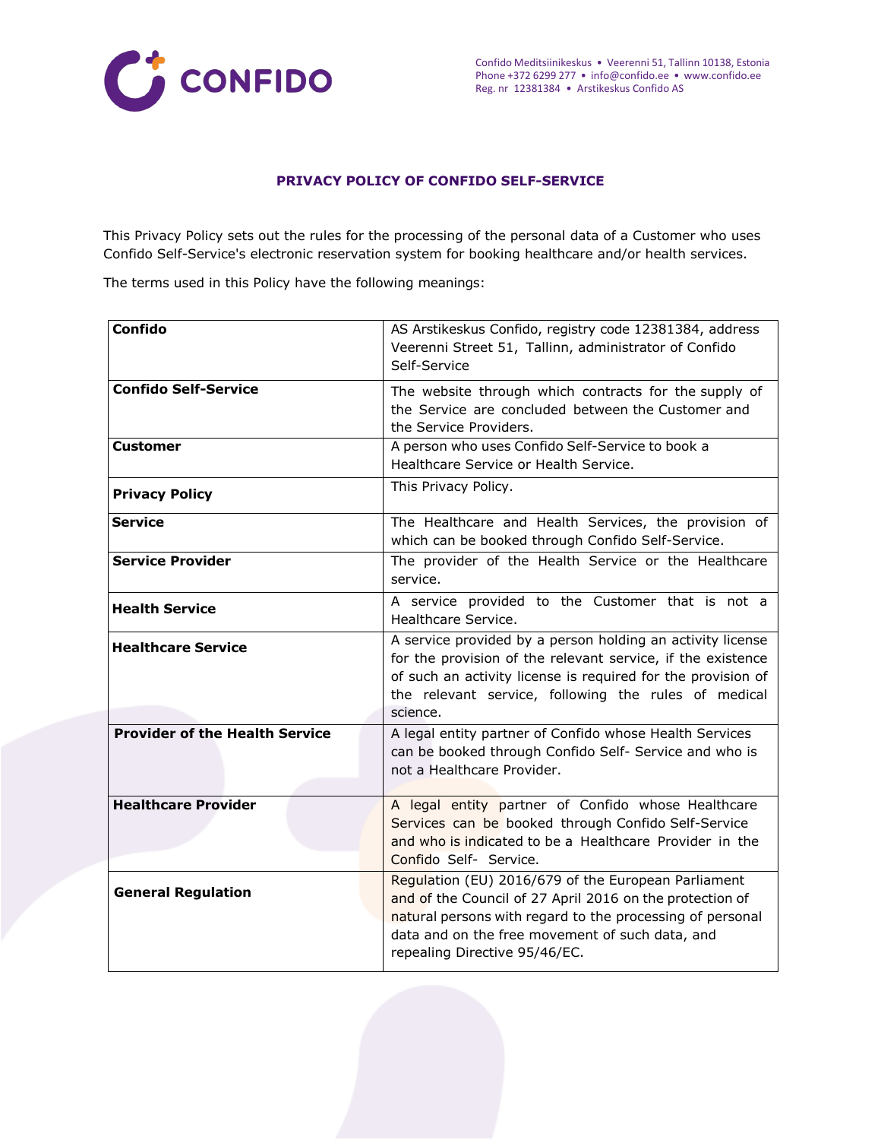

#### **PRIVACY POLICY OF CONFIDO SELF-SERVICE**

This Privacy Policy sets out the rules for the processing of the personal data of a Customer who uses Confido Self-Service's electronic reservation system for booking healthcare and/or health services.

The terms used in this Policy have the following meanings:

| <b>Confido</b>                        | AS Arstikeskus Confido, registry code 12381384, address<br>Veerenni Street 51, Tallinn, administrator of Confido<br>Self-Service                                                                                                                                 |
|---------------------------------------|------------------------------------------------------------------------------------------------------------------------------------------------------------------------------------------------------------------------------------------------------------------|
| <b>Confido Self-Service</b>           | The website through which contracts for the supply of<br>the Service are concluded between the Customer and<br>the Service Providers.                                                                                                                            |
| <b>Customer</b>                       | A person who uses Confido Self-Service to book a<br>Healthcare Service or Health Service.                                                                                                                                                                        |
| <b>Privacy Policy</b>                 | This Privacy Policy.                                                                                                                                                                                                                                             |
| <b>Service</b>                        | The Healthcare and Health Services, the provision of<br>which can be booked through Confido Self-Service.                                                                                                                                                        |
| <b>Service Provider</b>               | The provider of the Health Service or the Healthcare<br>service.                                                                                                                                                                                                 |
| <b>Health Service</b>                 | A service provided to the Customer that is not a<br>Healthcare Service.                                                                                                                                                                                          |
| <b>Healthcare Service</b>             | A service provided by a person holding an activity license<br>for the provision of the relevant service, if the existence<br>of such an activity license is required for the provision of<br>the relevant service, following the rules of medical<br>science.    |
| <b>Provider of the Health Service</b> | A legal entity partner of Confido whose Health Services<br>can be booked through Confido Self- Service and who is<br>not a Healthcare Provider.                                                                                                                  |
| <b>Healthcare Provider</b>            | A legal entity partner of Confido whose Healthcare<br>Services can be booked through Confido Self-Service<br>and who is indicated to be a Healthcare Provider in the<br>Confido Self- Service.                                                                   |
| <b>General Regulation</b>             | Regulation (EU) 2016/679 of the European Parliament<br>and of the Council of 27 April 2016 on the protection of<br>natural persons with regard to the processing of personal<br>data and on the free movement of such data, and<br>repealing Directive 95/46/EC. |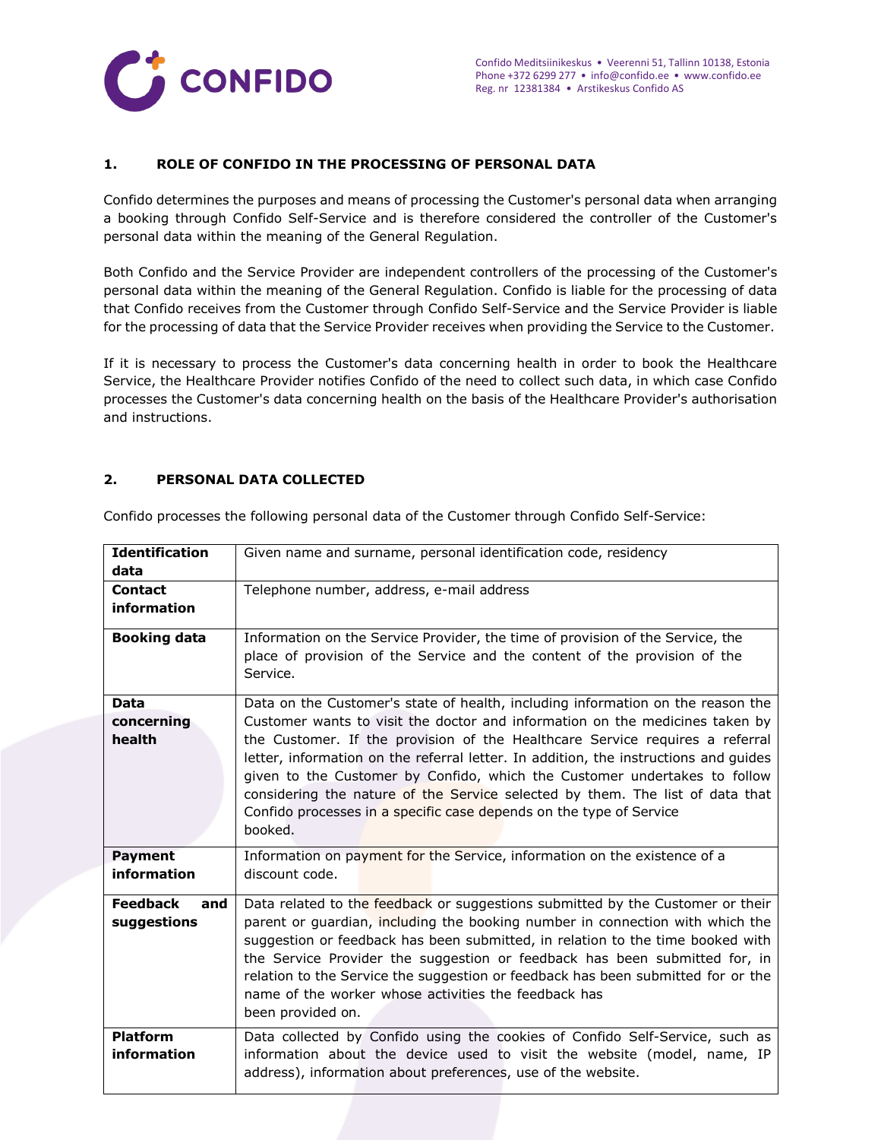

#### **1. ROLE OF CONFIDO IN THE PROCESSING OF PERSONAL DATA**

Confido determines the purposes and means of processing the Customer's personal data when arranging a booking through Confido Self-Service and is therefore considered the controller of the Customer's personal data within the meaning of the General Regulation.

Both Confido and the Service Provider are independent controllers of the processing of the Customer's personal data within the meaning of the General Regulation. Confido is liable for the processing of data that Confido receives from the Customer through Confido Self-Service and the Service Provider is liable for the processing of data that the Service Provider receives when providing the Service to the Customer.

If it is necessary to process the Customer's data concerning health in order to book the Healthcare Service, the Healthcare Provider notifies Confido of the need to collect such data, in which case Confido processes the Customer's data concerning health on the basis of the Healthcare Provider's authorisation and instructions.

#### **2. PERSONAL DATA COLLECTED**

| <b>Identification</b><br>data         | Given name and surname, personal identification code, residency                                                                                                                                                                                                                                                                                                                                                                                                                                                                                                                         |  |  |
|---------------------------------------|-----------------------------------------------------------------------------------------------------------------------------------------------------------------------------------------------------------------------------------------------------------------------------------------------------------------------------------------------------------------------------------------------------------------------------------------------------------------------------------------------------------------------------------------------------------------------------------------|--|--|
| <b>Contact</b><br><b>information</b>  | Telephone number, address, e-mail address                                                                                                                                                                                                                                                                                                                                                                                                                                                                                                                                               |  |  |
| <b>Booking data</b>                   | Information on the Service Provider, the time of provision of the Service, the<br>place of provision of the Service and the content of the provision of the<br>Service.                                                                                                                                                                                                                                                                                                                                                                                                                 |  |  |
| <b>Data</b><br>concerning<br>health   | Data on the Customer's state of health, including information on the reason the<br>Customer wants to visit the doctor and information on the medicines taken by<br>the Customer. If the provision of the Healthcare Service requires a referral<br>letter, information on the referral letter. In addition, the instructions and quides<br>given to the Customer by Confido, which the Customer undertakes to follow<br>considering the nature of the Service selected by them. The list of data that<br>Confido processes in a specific case depends on the type of Service<br>booked. |  |  |
| <b>Payment</b><br>information         | Information on payment for the Service, information on the existence of a<br>discount code.                                                                                                                                                                                                                                                                                                                                                                                                                                                                                             |  |  |
| <b>Feedback</b><br>and<br>suggestions | Data related to the feedback or suggestions submitted by the Customer or their<br>parent or guardian, including the booking number in connection with which the<br>suggestion or feedback has been submitted, in relation to the time booked with<br>the Service Provider the suggestion or feedback has been submitted for, in<br>relation to the Service the suggestion or feedback has been submitted for or the<br>name of the worker whose activities the feedback has<br>been provided on.                                                                                        |  |  |
| <b>Platform</b><br>information        | Data collected by Confido using the cookies of Confido Self-Service, such as<br>information about the device used to visit the website (model, name, IP<br>address), information about preferences, use of the website.                                                                                                                                                                                                                                                                                                                                                                 |  |  |

Confido processes the following personal data of the Customer through Confido Self-Service: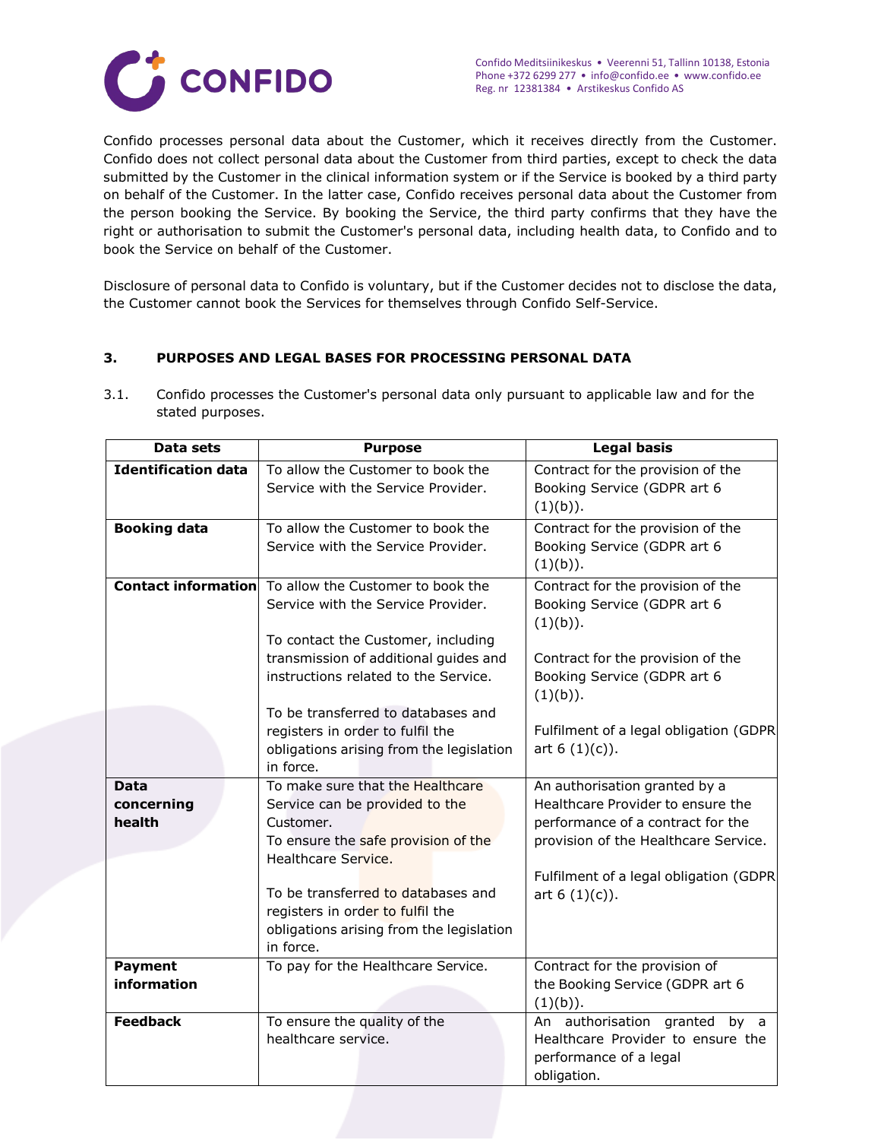

Confido processes personal data about the Customer, which it receives directly from the Customer. Confido does not collect personal data about the Customer from third parties, except to check the data submitted by the Customer in the clinical information system or if the Service is booked by a third party on behalf of the Customer. In the latter case, Confido receives personal data about the Customer from the person booking the Service. By booking the Service, the third party confirms that they have the right or authorisation to submit the Customer's personal data, including health data, to Confido and to book the Service on behalf of the Customer.

Disclosure of personal data to Confido is voluntary, but if the Customer decides not to disclose the data, the Customer cannot book the Services for themselves through Confido Self-Service.

# **3. PURPOSES AND LEGAL BASES FOR PROCESSING PERSONAL DATA**

3.1. Confido processes the Customer's personal data only pursuant to applicable law and for the stated purposes.

| Data sets                  | <b>Purpose</b>                                               | <b>Legal basis</b>                                                 |
|----------------------------|--------------------------------------------------------------|--------------------------------------------------------------------|
| <b>Identification data</b> | To allow the Customer to book the                            | Contract for the provision of the                                  |
|                            | Service with the Service Provider.                           | Booking Service (GDPR art 6                                        |
|                            |                                                              | (1)(b)).                                                           |
| <b>Booking data</b>        | To allow the Customer to book the                            | Contract for the provision of the                                  |
|                            | Service with the Service Provider.                           | Booking Service (GDPR art 6                                        |
|                            |                                                              | (1)(b)).                                                           |
|                            | <b>Contact information</b> To allow the Customer to book the | Contract for the provision of the                                  |
|                            | Service with the Service Provider.                           | Booking Service (GDPR art 6                                        |
|                            |                                                              | (1)(b)).                                                           |
|                            | To contact the Customer, including                           |                                                                    |
|                            | transmission of additional guides and                        | Contract for the provision of the                                  |
|                            | instructions related to the Service.                         | Booking Service (GDPR art 6                                        |
|                            |                                                              | (1)(b)).                                                           |
|                            | To be transferred to databases and                           |                                                                    |
|                            | registers in order to fulfil the                             | Fulfilment of a legal obligation (GDPR                             |
|                            | obligations arising from the legislation                     | art $6(1)(c)$ ).                                                   |
|                            | in force.                                                    |                                                                    |
| <b>Data</b>                | To make sure that the Healthcare                             | An authorisation granted by a<br>Healthcare Provider to ensure the |
| concerning                 | Service can be provided to the                               |                                                                    |
| health                     | Customer.                                                    | performance of a contract for the                                  |
|                            | To ensure the safe provision of the<br>Healthcare Service.   | provision of the Healthcare Service.                               |
|                            |                                                              | Fulfilment of a legal obligation (GDPR                             |
|                            | To be transferred to databases and                           | art $6(1)(c)$ ).                                                   |
|                            | registers in order to fulfil the                             |                                                                    |
|                            | obligations arising from the legislation                     |                                                                    |
|                            | in force.                                                    |                                                                    |
| <b>Payment</b>             | To pay for the Healthcare Service.                           | Contract for the provision of                                      |
| information                |                                                              | the Booking Service (GDPR art 6                                    |
|                            |                                                              | (1)(b)).                                                           |
| <b>Feedback</b>            | To ensure the quality of the                                 | authorisation granted by a<br>An                                   |
|                            | healthcare service.                                          | Healthcare Provider to ensure the                                  |
|                            |                                                              | performance of a legal                                             |
|                            |                                                              | obligation.                                                        |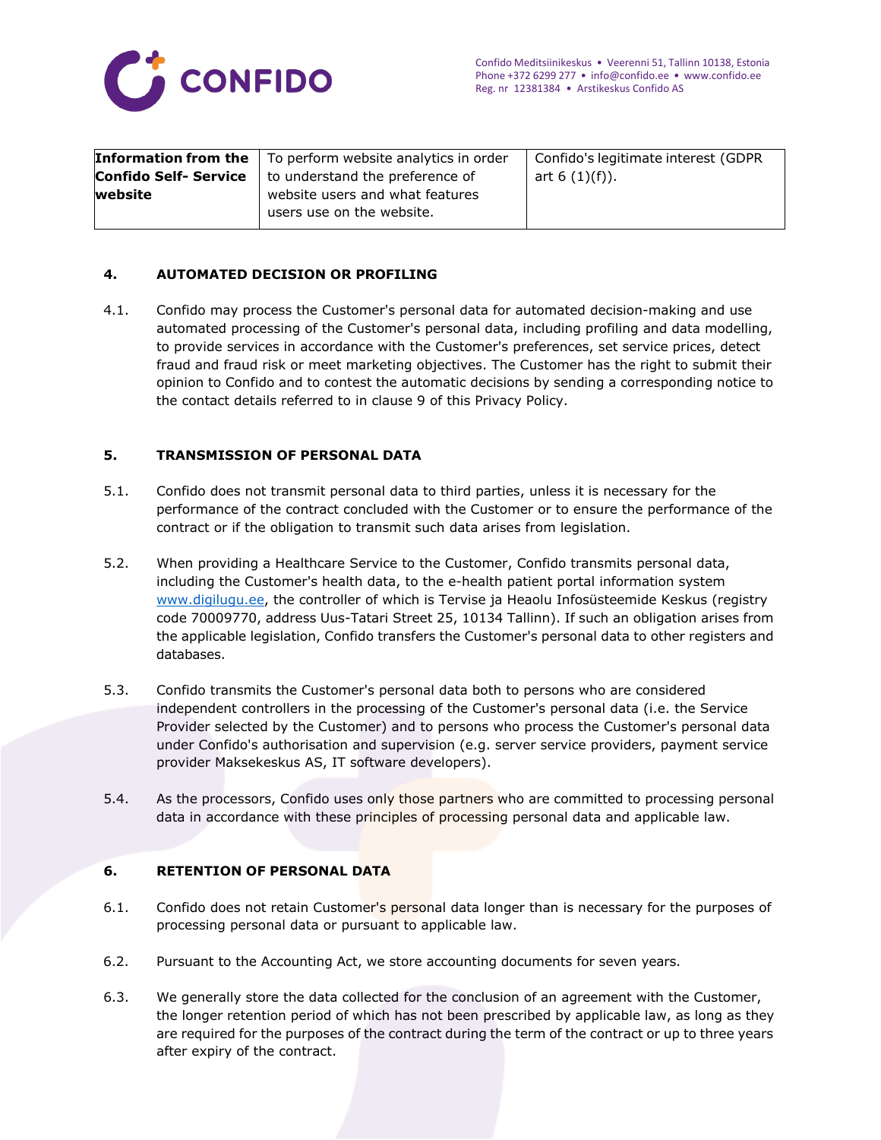

| Confido Self- Service <br>to understand the preference of<br>art $6(1)(f)$ ). |         | <b>Information from the</b> $\vert$ To perform website analytics in order | Confido's legitimate interest (GDPR |
|-------------------------------------------------------------------------------|---------|---------------------------------------------------------------------------|-------------------------------------|
|                                                                               |         |                                                                           |                                     |
|                                                                               | website | website users and what features                                           |                                     |
| users use on the website.                                                     |         |                                                                           |                                     |

# **4. AUTOMATED DECISION OR PROFILING**

4.1. Confido may process the Customer's personal data for automated decision-making and use automated processing of the Customer's personal data, including profiling and data modelling, to provide services in accordance with the Customer's preferences, set service prices, detect fraud and fraud risk or meet marketing objectives. The Customer has the right to submit their opinion to Confido and to contest the automatic decisions by sending a corresponding notice to the contact details referred to in clause 9 of this Privacy Policy.

# **5. TRANSMISSION OF PERSONAL DATA**

- 5.1. Confido does not transmit personal data to third parties, unless it is necessary for the performance of the contract concluded with the Customer or to ensure the performance of the contract or if the obligation to transmit such data arises from legislation.
- 5.2. When providing a Healthcare Service to the Customer, Confido transmits personal data, including the Customer's health data, to the e-health patient portal information system [www.digilugu.ee,](http://www.digilugu.ee/) the controller of which is Tervise ja Heaolu Infosüsteemide Keskus (registry code 70009770, address Uus-Tatari Street 25, 10134 Tallinn). If such an obligation arises from the applicable legislation, Confido transfers the Customer's personal data to other registers and databases.
- 5.3. Confido transmits the Customer's personal data both to persons who are considered independent controllers in the processing of the Customer's personal data (i.e. the Service Provider selected by the Customer) and to persons who process the Customer's personal data under Confido's authorisation and supervision (e.g. server service providers, payment service provider Maksekeskus AS, IT software developers).
- 5.4. As the processors, Confido uses only those partners who are committed to processing personal data in accordance with these principles of processing personal data and applicable law.

# **6. RETENTION OF PERSONAL DATA**

- 6.1. Confido does not retain Customer's personal data longer than is necessary for the purposes of processing personal data or pursuant to applicable law.
- 6.2. Pursuant to the Accounting Act, we store accounting documents for seven years.
- 6.3. We generally store the data collected for the conclusion of an agreement with the Customer, the longer retention period of which has not been prescribed by applicable law, as long as they are required for the purposes of the contract during the term of the contract or up to three years after expiry of the contract.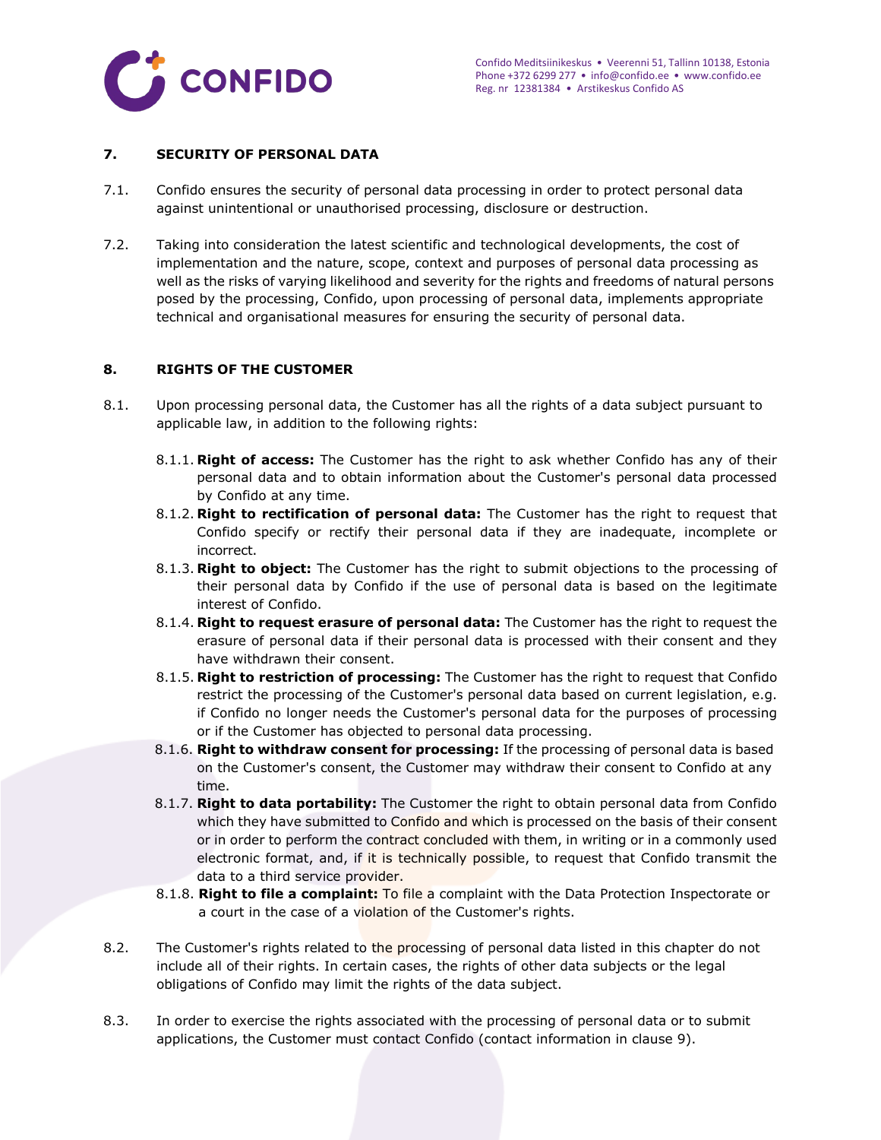

### **7. SECURITY OF PERSONAL DATA**

- 7.1. Confido ensures the security of personal data processing in order to protect personal data against unintentional or unauthorised processing, disclosure or destruction.
- 7.2. Taking into consideration the latest scientific and technological developments, the cost of implementation and the nature, scope, context and purposes of personal data processing as well as the risks of varying likelihood and severity for the rights and freedoms of natural persons posed by the processing, Confido, upon processing of personal data, implements appropriate technical and organisational measures for ensuring the security of personal data.

#### **8. RIGHTS OF THE CUSTOMER**

- 8.1. Upon processing personal data, the Customer has all the rights of a data subject pursuant to applicable law, in addition to the following rights:
	- 8.1.1. **Right of access:** The Customer has the right to ask whether Confido has any of their personal data and to obtain information about the Customer's personal data processed by Confido at any time.
	- 8.1.2. **Right to rectification of personal data:** The Customer has the right to request that Confido specify or rectify their personal data if they are inadequate, incomplete or incorrect.
	- 8.1.3. **Right to object:** The Customer has the right to submit objections to the processing of their personal data by Confido if the use of personal data is based on the legitimate interest of Confido.
	- 8.1.4. **Right to request erasure of personal data:** The Customer has the right to request the erasure of personal data if their personal data is processed with their consent and they have withdrawn their consent.
	- 8.1.5. **Right to restriction of processing:** The Customer has the right to request that Confido restrict the processing of the Customer's personal data based on current legislation, e.g. if Confido no longer needs the Customer's personal data for the purposes of processing or if the Customer has objected to personal data processing.
	- 8.1.6. **Right to withdraw consent for processing:** If the processing of personal data is based on the Customer's consent, the Customer may withdraw their consent to Confido at any time.
	- 8.1.7. **Right to data portability:** The Customer the right to obtain personal data from Confido which they have submitted to Confido and which is processed on the basis of their consent or in order to perform the contract concluded with them, in writing or in a commonly used electronic format, and, if it is technically possible, to request that Confido transmit the data to a third service provider.
	- 8.1.8. **Right to file a complaint:** To file a complaint with the Data Protection Inspectorate or a court in the case of a violation of the Customer's rights.
- 8.2. The Customer's rights related to the processing of personal data listed in this chapter do not include all of their rights. In certain cases, the rights of other data subjects or the legal obligations of Confido may limit the rights of the data subject.
- 8.3. In order to exercise the rights associated with the processing of personal data or to submit applications, the Customer must contact Confido (contact information in clause 9).